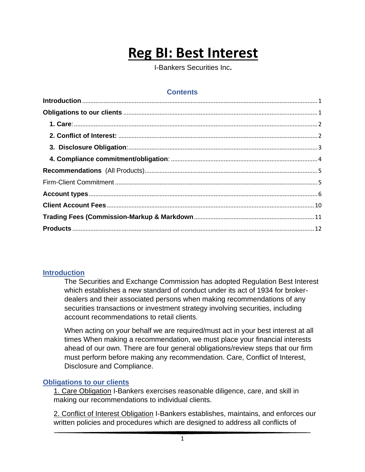# **Reg BI: Best Interest**

I-Bankers Securities Inc**.**

# **Contents**

#### <span id="page-0-0"></span>**Introduction**

The Securities and Exchange Commission has adopted Regulation Best Interest which establishes a new standard of conduct under its act of 1934 for brokerdealers and their associated persons when making recommendations of any securities transactions or investment strategy involving securities, including account recommendations to retail clients.

When acting on your behalf we are required/must act in your best interest at all times When making a recommendation, we must place your financial interests ahead of our own. There are four general obligations/review steps that our firm must perform before making any recommendation. Care, Conflict of Interest, Disclosure and Compliance.

#### <span id="page-0-1"></span>**Obligations to our clients**

1. Care Obligation I-Bankers exercises reasonable diligence, care, and skill in making our recommendations to individual clients.

2. Conflict of Interest Obligation I-Bankers establishes, maintains, and enforces our written policies and procedures which are designed to address all conflicts of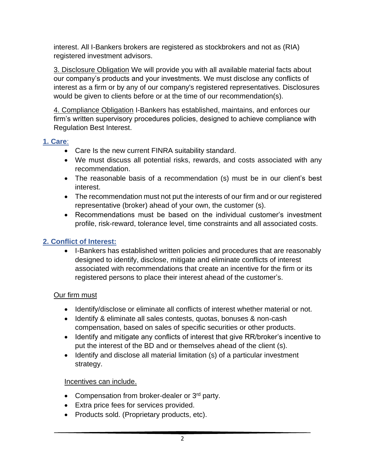interest. All I-Bankers brokers are registered as stockbrokers and not as (RIA) registered investment advisors.

3. Disclosure Obligation We will provide you with all available material facts about our company's products and your investments. We must disclose any conflicts of interest as a firm or by any of our company's registered representatives. Disclosures would be given to clients before or at the time of our recommendation(s).

4. Compliance Obligation I-Bankers has established, maintains, and enforces our firm's written supervisory procedures policies, designed to achieve compliance with Regulation Best Interest.

# <span id="page-1-0"></span>**1. Care**:

- Care Is the new current FINRA suitability standard.
- We must discuss all potential risks, rewards, and costs associated with any recommendation.
- The reasonable basis of a recommendation (s) must be in our client's best interest.
- The recommendation must not put the interests of our firm and or our registered representative (broker) ahead of your own, the customer (s).
- Recommendations must be based on the individual customer's investment profile, risk-reward, tolerance level, time constraints and all associated costs.

# <span id="page-1-1"></span>**2. Conflict of Interest:**

• I-Bankers has established written policies and procedures that are reasonably designed to identify, disclose, mitigate and eliminate conflicts of interest associated with recommendations that create an incentive for the firm or its registered persons to place their interest ahead of the customer's.

# Our firm must

- Identify/disclose or eliminate all conflicts of interest whether material or not.
- Identify & eliminate all sales contests, quotas, bonuses & non-cash compensation, based on sales of specific securities or other products.
- Identify and mitigate any conflicts of interest that give RR/broker's incentive to put the interest of the BD and or themselves ahead of the client (s).
- Identify and disclose all material limitation (s) of a particular investment strategy.

# Incentives can include.

- Compensation from broker-dealer or  $3<sup>rd</sup>$  party.
- Extra price fees for services provided.
- Products sold. (Proprietary products, etc).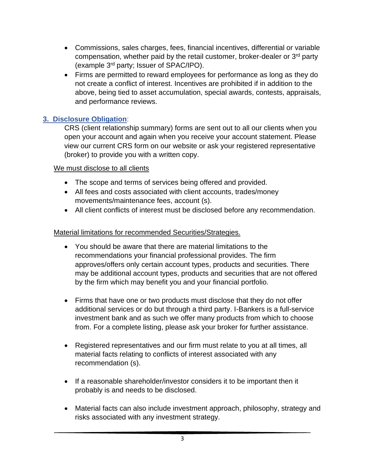- Commissions, sales charges, fees, financial incentives, differential or variable compensation, whether paid by the retail customer, broker-dealer or 3rd party (example 3rd party; Issuer of SPAC/IPO).
- Firms are permitted to reward employees for performance as long as they do not create a conflict of interest. Incentives are prohibited if in addition to the above, being tied to asset accumulation, special awards, contests, appraisals, and performance reviews.

# <span id="page-2-0"></span>**3. Disclosure Obligation**:

CRS (client relationship summary) forms are sent out to all our clients when you open your account and again when you receive your account statement. Please view our current CRS form on our website or ask your registered representative (broker) to provide you with a written copy.

#### We must disclose to all clients

- The scope and terms of services being offered and provided.
- All fees and costs associated with client accounts, trades/money movements/maintenance fees, account (s).
- All client conflicts of interest must be disclosed before any recommendation.

#### Material limitations for recommended Securities/Strategies.

- You should be aware that there are material limitations to the recommendations your financial professional provides. The firm approves/offers only certain account types, products and securities. There may be additional account types, products and securities that are not offered by the firm which may benefit you and your financial portfolio.
- Firms that have one or two products must disclose that they do not offer additional services or do but through a third party. I-Bankers is a full-service investment bank and as such we offer many products from which to choose from. For a complete listing, please ask your broker for further assistance.
- Registered representatives and our firm must relate to you at all times, all material facts relating to conflicts of interest associated with any recommendation (s).
- If a reasonable shareholder/investor considers it to be important then it probably is and needs to be disclosed.
- Material facts can also include investment approach, philosophy, strategy and risks associated with any investment strategy.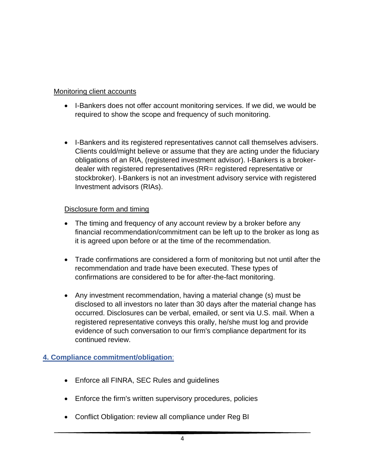### Monitoring client accounts

- I-Bankers does not offer account monitoring services. If we did, we would be required to show the scope and frequency of such monitoring.
- I-Bankers and its registered representatives cannot call themselves advisers. Clients could/might believe or assume that they are acting under the fiduciary obligations of an RIA, (registered investment advisor). I-Bankers is a brokerdealer with registered representatives (RR= registered representative or stockbroker). I-Bankers is not an investment advisory service with registered Investment advisors (RIAs).

#### Disclosure form and timing

- The timing and frequency of any account review by a broker before any financial recommendation/commitment can be left up to the broker as long as it is agreed upon before or at the time of the recommendation.
- Trade confirmations are considered a form of monitoring but not until after the recommendation and trade have been executed. These types of confirmations are considered to be for after-the-fact monitoring.
- Any investment recommendation, having a material change (s) must be disclosed to all investors no later than 30 days after the material change has occurred. Disclosures can be verbal, emailed, or sent via U.S. mail. When a registered representative conveys this orally, he/she must log and provide evidence of such conversation to our firm's compliance department for its continued review.

# <span id="page-3-0"></span>**4. Compliance commitment/obligation**:

- Enforce all FINRA, SEC Rules and guidelines
- Enforce the firm's written supervisory procedures, policies
- Conflict Obligation: review all compliance under Reg BI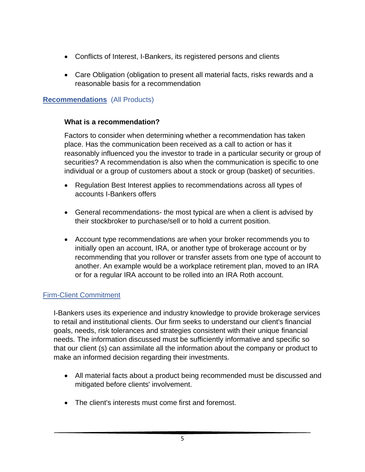- Conflicts of Interest, I-Bankers, its registered persons and clients
- Care Obligation (obligation to present all material facts, risks rewards and a reasonable basis for a recommendation

#### <span id="page-4-0"></span>**Recommendations** (All Products)

#### **What is a recommendation?**

Factors to consider when determining whether a recommendation has taken place. Has the communication been received as a call to action or has it reasonably influenced you the investor to trade in a particular security or group of securities? A recommendation is also when the communication is specific to one individual or a group of customers about a stock or group (basket) of securities.

- Regulation Best Interest applies to recommendations across all types of accounts I-Bankers offers
- General recommendations- the most typical are when a client is advised by their stockbroker to purchase/sell or to hold a current position.
- Account type recommendations are when your broker recommends you to initially open an account, IRA, or another type of brokerage account or by recommending that you rollover or transfer assets from one type of account to another. An example would be a workplace retirement plan, moved to an IRA or for a regular IRA account to be rolled into an IRA Roth account.

#### <span id="page-4-1"></span>Firm-Client Commitment

I-Bankers uses its experience and industry knowledge to provide brokerage services to retail and institutional clients. Our firm seeks to understand our client's financial goals, needs, risk tolerances and strategies consistent with their unique financial needs. The information discussed must be sufficiently informative and specific so that our client (s) can assimilate all the information about the company or product to make an informed decision regarding their investments.

- All material facts about a product being recommended must be discussed and mitigated before clients' involvement.
- The client's interests must come first and foremost.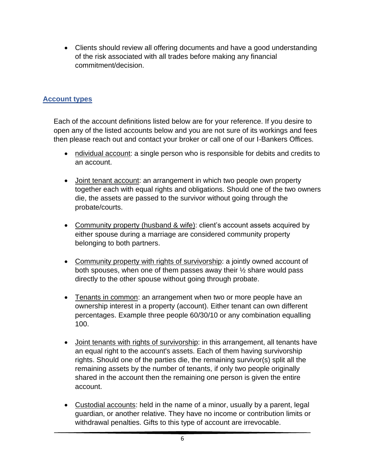• Clients should review all offering documents and have a good understanding of the risk associated with all trades before making any financial commitment/decision.

# <span id="page-5-0"></span>**Account types**

Each of the account definitions listed below are for your reference. If you desire to open any of the listed accounts below and you are not sure of its workings and fees then please reach out and contact your broker or call one of our I-Bankers Offices.

- ndividual account: a single person who is responsible for debits and credits to an account.
- Joint tenant account: an arrangement in which two people own property together each with equal rights and obligations. Should one of the two owners die, the assets are passed to the survivor without going through the probate/courts.
- Community property (husband & wife): client's account assets acquired by either spouse during a marriage are considered community property belonging to both partners.
- Community property with rights of survivorship: a jointly owned account of both spouses, when one of them passes away their ½ share would pass directly to the other spouse without going through probate.
- Tenants in common: an arrangement when two or more people have an ownership interest in a property (account). Either tenant can own different percentages. Example three people 60/30/10 or any combination equalling 100.
- Joint tenants with rights of survivorship: in this arrangement, all tenants have an equal right to the account's assets. Each of them having survivorship rights. Should one of the parties die, the remaining survivor(s) split all the remaining assets by the number of tenants, if only two people originally shared in the account then the remaining one person is given the entire account.
- Custodial accounts: held in the name of a minor, usually by a parent, legal guardian, or another relative. They have no income or contribution limits or withdrawal penalties. Gifts to this type of account are irrevocable.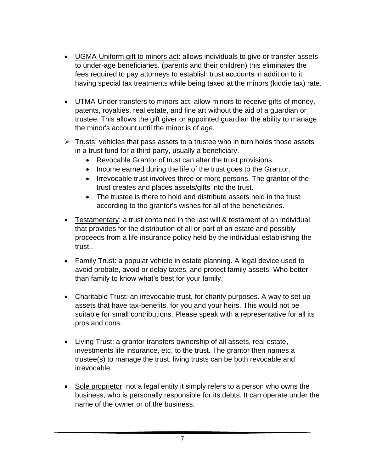- UGMA-Uniform gift to minors act: allows individuals to give or transfer assets to under-age beneficiaries. (parents and their children) this eliminates the fees required to pay attorneys to establish trust accounts in addition to it having special tax treatments while being taxed at the minors (kiddie tax) rate.
- UTMA-Under transfers to minors act: allow minors to receive gifts of money, patents, royalties, real estate, and fine art without the aid of a guardian or trustee. This allows the gift giver or appointed guardian the ability to manage the minor's account until the minor is of age.
- $\triangleright$  Trusts: vehicles that pass assets to a trustee who in turn holds those assets in a trust fund for a third party, usually a beneficiary.
	- Revocable Grantor of trust can alter the trust provisions.
	- Income earned during the life of the trust goes to the Grantor.
	- Irrevocable trust involves three or more persons. The grantor of the trust creates and places assets/gifts into the trust.
	- The trustee is there to hold and distribute assets held in the trust according to the grantor's wishes for all of the beneficiaries.
- Testamentary: a trust contained in the last will & testament of an individual that provides for the distribution of all or part of an estate and possibly proceeds from a life insurance policy held by the individual establishing the trust..
- Family Trust: a popular vehicle in estate planning. A legal device used to avoid probate, avoid or delay taxes, and protect family assets. Who better than family to know what's best for your family.
- Charitable Trust: an irrevocable trust, for charity purposes. A way to set up assets that have tax-benefits, for you and your heirs. This would not be suitable for small contributions. Please speak with a representative for all its pros and cons.
- Living Trust: a grantor transfers ownership of all assets, real estate, investments life insurance, etc. to the trust. The grantor then names a trustee(s) to manage the trust. living trusts can be both revocable and irrevocable.
- Sole proprietor: not a legal entity it simply refers to a person who owns the business, who is personally responsible for its debts. It can operate under the name of the owner or of the business.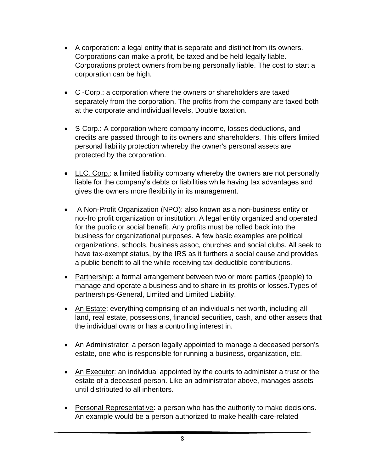- A corporation: a legal entity that is separate and distinct from its owners. Corporations can make a profit, be taxed and be held legally liable. Corporations protect owners from being personally liable. The cost to start a corporation can be high.
- C -Corp.: a corporation where the owners or shareholders are taxed separately from the corporation. The profits from the company are taxed both at the corporate and individual levels, Double taxation.
- S-Corp.: A corporation where company income, losses deductions, and credits are passed through to its owners and shareholders. This offers limited personal liability protection whereby the owner's personal assets are protected by the corporation.
- LLC. Corp.: a limited liability company whereby the owners are not personally liable for the company's debts or liabilities while having tax advantages and gives the owners more flexibility in its management.
- A Non-Profit Organization (NPO): also known as a non-business entity or not-fro profit organization or institution. A legal entity organized and operated for the public or social benefit. Any profits must be rolled back into the business for organizational purposes. A few basic examples are political organizations, schools, business assoc, churches and social clubs. All seek to have tax-exempt status, by the IRS as it furthers a social cause and provides a public benefit to all the while receiving tax-deductible contributions.
- Partnership: a formal arrangement between two or more parties (people) to manage and operate a business and to share in its profits or losses.Types of partnerships-General, Limited and Limited Liability.
- An Estate: everything comprising of an individual's net worth, including all land, real estate, possessions, financial securities, cash, and other assets that the individual owns or has a controlling interest in.
- An Administrator: a person legally appointed to manage a deceased person's estate, one who is responsible for running a business, organization, etc.
- An Executor: an individual appointed by the courts to administer a trust or the estate of a deceased person. Like an administrator above, manages assets until distributed to all inheritors.
- Personal Representative: a person who has the authority to make decisions. An example would be a person authorized to make health-care-related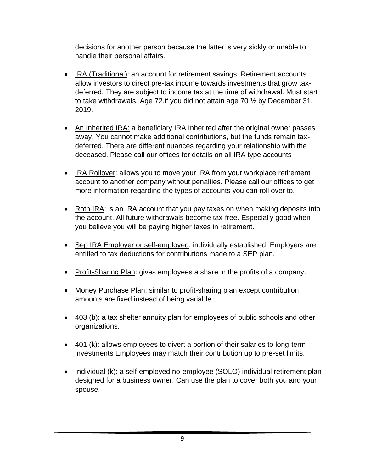decisions for another person because the latter is very sickly or unable to handle their personal affairs.

- IRA (Traditional): an account for retirement savings. Retirement accounts allow investors to direct pre-tax income towards investments that grow taxdeferred. They are subject to income tax at the time of withdrawal. Must start to take withdrawals, Age 72.if you did not attain age 70 ½ by December 31, 2019.
- An Inherited IRA: a beneficiary IRA Inherited after the original owner passes away. You cannot make additional contributions, but the funds remain taxdeferred. There are different nuances regarding your relationship with the deceased. Please call our offices for details on all IRA type accounts
- IRA Rollover: allows you to move your IRA from your workplace retirement account to another company without penalties. Please call our offices to get more information regarding the types of accounts you can roll over to.
- Roth IRA: is an IRA account that you pay taxes on when making deposits into the account. All future withdrawals become tax-free. Especially good when you believe you will be paying higher taxes in retirement.
- Sep IRA Employer or self-employed: individually established. Employers are entitled to tax deductions for contributions made to a SEP plan.
- Profit-Sharing Plan: gives employees a share in the profits of a company.
- Money Purchase Plan: similar to profit-sharing plan except contribution amounts are fixed instead of being variable.
- 403 (b): a tax shelter annuity plan for employees of public schools and other organizations.
- 401 (k): allows employees to divert a portion of their salaries to long-term investments Employees may match their contribution up to pre-set limits.
- Individual (k): a self-employed no-employee (SOLO) individual retirement plan designed for a business owner. Can use the plan to cover both you and your spouse.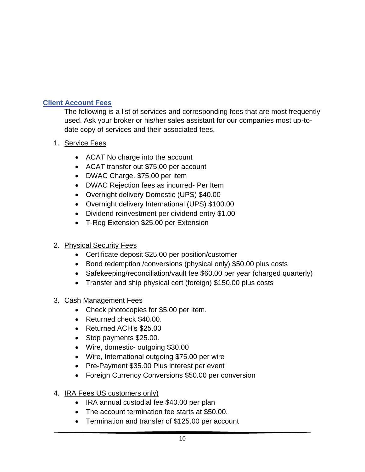# <span id="page-9-0"></span>**Client Account Fees**

The following is a list of services and corresponding fees that are most frequently used. Ask your broker or his/her sales assistant for our companies most up-todate copy of services and their associated fees.

- 1. Service Fees
	- ACAT No charge into the account
	- ACAT transfer out \$75.00 per account
	- DWAC Charge. \$75.00 per item
	- DWAC Rejection fees as incurred- Per Item
	- Overnight delivery Domestic (UPS) \$40.00
	- Overnight delivery International (UPS) \$100.00
	- Dividend reinvestment per dividend entry \$1.00
	- T-Reg Extension \$25.00 per Extension

# 2. Physical Security Fees

- Certificate deposit \$25.00 per position/customer
- Bond redemption /conversions (physical only) \$50.00 plus costs
- Safekeeping/reconciliation/vault fee \$60.00 per year (charged quarterly)
- Transfer and ship physical cert (foreign) \$150.00 plus costs

# 3. Cash Management Fees

- Check photocopies for \$5.00 per item.
- Returned check \$40.00.
- Returned ACH's \$25.00
- Stop payments \$25.00.
- Wire, domestic- outgoing \$30.00
- Wire, International outgoing \$75.00 per wire
- Pre-Payment \$35.00 Plus interest per event
- Foreign Currency Conversions \$50.00 per conversion
- 4. IRA Fees US customers only)
	- IRA annual custodial fee \$40.00 per plan
	- The account termination fee starts at \$50.00.
	- Termination and transfer of \$125.00 per account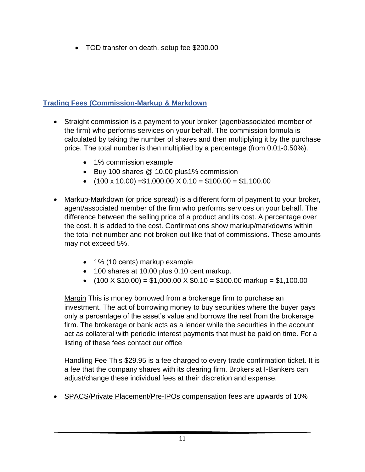• TOD transfer on death. setup fee \$200.00

# <span id="page-10-0"></span>**Trading Fees (Commission-Markup & Markdown**

- Straight commission is a payment to your broker (agent/associated member of the firm) who performs services on your behalf. The commission formula is calculated by taking the number of shares and then multiplying it by the purchase price. The total number is then multiplied by a percentage (from 0.01-0.50%).
	- 1% commission example
	- Buy 100 shares @ 10.00 plus1% commission
	- $(100 \times 10.00) = $1,000.00 \times 0.10 = $100.00 = $1,100.00$
- Markup-Markdown (or price spread) is a different form of payment to your broker, agent/associated member of the firm who performs services on your behalf. The difference between the selling price of a product and its cost. A percentage over the cost. It is added to the cost. Confirmations show markup/markdowns within the total net number and not broken out like that of commissions. These amounts may not exceed 5%.
	- 1% (10 cents) markup example
	- 100 shares at 10.00 plus 0.10 cent markup.
	- $(100 \times $10.00) = $1,000.00 \times $0.10 = $100.00$  markup = \$1,100.00

Margin This is money borrowed from a brokerage firm to purchase an investment. The act of borrowing money to buy securities where the buyer pays only a percentage of the asset's value and borrows the rest from the brokerage firm. The brokerage or bank acts as a lender while the securities in the account act as collateral with periodic interest payments that must be paid on time. For a listing of these fees contact our office

Handling Fee This \$29.95 is a fee charged to every trade confirmation ticket. It is a fee that the company shares with its clearing firm. Brokers at I-Bankers can adjust/change these individual fees at their discretion and expense.

• SPACS/Private Placement/Pre-IPOs compensation fees are upwards of 10%